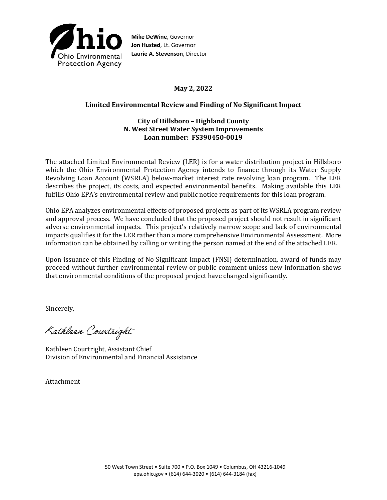

**Mike DeWine**, Governor **Jon Husted**, Lt. Governor **Laurie A. Stevenson**, Director

# **May 2, 2022**

# **Limited Environmental Review and Finding of No Significant Impact**

## **City of Hillsboro – Highland County N. West Street Water System Improvements Loan number: FS390450-0019**

The attached Limited Environmental Review (LER) is for a water distribution project in Hillsboro which the Ohio Environmental Protection Agency intends to finance through its Water Supply Revolving Loan Account (WSRLA) below-market interest rate revolving loan program. The LER describes the project, its costs, and expected environmental benefits. Making available this LER fulfills Ohio EPA's environmental review and public notice requirements for this loan program.

Ohio EPA analyzes environmental effects of proposed projects as part of its WSRLA program review and approval process. We have concluded that the proposed project should not result in significant adverse environmental impacts. This project's relatively narrow scope and lack of environmental impacts qualifies it for the LER rather than a more comprehensive Environmental Assessment. More information can be obtained by calling or writing the person named at the end of the attached LER.

Upon issuance of this Finding of No Significant Impact (FNSI) determination, award of funds may proceed without further environmental review or public comment unless new information shows that environmental conditions of the proposed project have changed significantly.

Sincerely,

Kathleen Courtright

Kathleen Courtright, Assistant Chief Division of Environmental and Financial Assistance

Attachment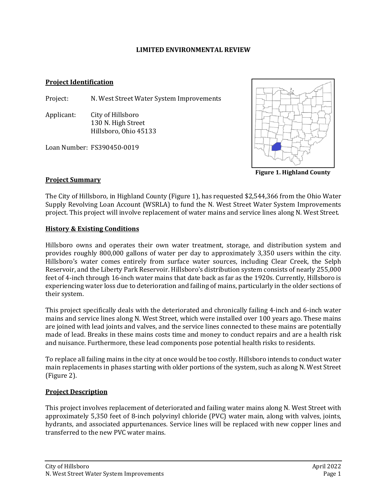### **LIMITED ENVIRONMENTAL REVIEW**

### **Project Identification**

Project: N. West Street Water System Improvements

Applicant: City of Hillsboro 130 N. High Street Hillsboro, Ohio 45133

Loan Number: FS390450-0019



**Figure 1. Highland County**

## **Project Summary**

The City of Hillsboro, in Highland County (Figure 1), has requested \$2,544,366 from the Ohio Water Supply Revolving Loan Account (WSRLA) to fund the N. West Street Water System Improvements project. This project will involve replacement of water mains and service lines along N. West Street.

## **History & Existing Conditions**

Hillsboro owns and operates their own water treatment, storage, and distribution system and provides roughly 800,000 gallons of water per day to approximately 3,350 users within the city. Hillsboro's water comes entirely from surface water sources, including Clear Creek, the Selph Reservoir, and the Liberty Park Reservoir. Hillsboro's distribution system consists of nearly 255,000 feet of 4-inch through 16-inch water mains that date back as far as the 1920s. Currently, Hillsboro is experiencing water loss due to deterioration and failing of mains, particularly in the older sections of their system.

This project specifically deals with the deteriorated and chronically failing 4-inch and 6-inch water mains and service lines along N. West Street, which were installed over 100 years ago. These mains are joined with lead joints and valves, and the service lines connected to these mains are potentially made of lead. Breaks in these mains costs time and money to conduct repairs and are a health risk and nuisance. Furthermore, these lead components pose potential health risks to residents.

To replace all failing mains in the city at once would be too costly. Hillsboro intends to conduct water main replacements in phases starting with older portions of the system, such as along N. West Street (Figure 2).

## **Project Description**

This project involves replacement of deteriorated and failing water mains along N. West Street with approximately 5,350 feet of 8-inch polyvinyl chloride (PVC) water main, along with valves, joints, hydrants, and associated appurtenances. Service lines will be replaced with new copper lines and transferred to the new PVC water mains.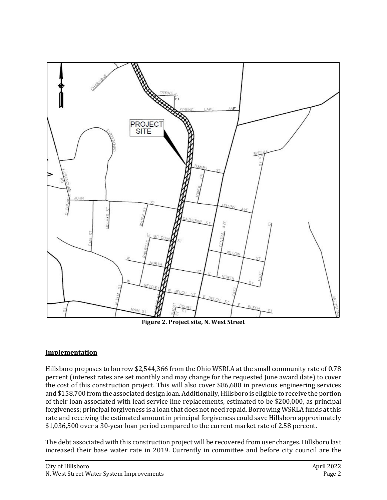

**Figure 2. Project site, N. West Street**

## **Implementation**

Hillsboro proposes to borrow \$2,544,366 from the Ohio WSRLA at the small community rate of 0.78 percent (interest rates are set monthly and may change for the requested June award date) to cover the cost of this construction project. This will also cover \$86,600 in previous engineering services and \$158,700 from the associated design loan. Additionally, Hillsboro is eligible to receive the portion of their loan associated with lead service line replacements, estimated to be \$200,000, as principal forgiveness; principal forgiveness is a loan that does not need repaid. Borrowing WSRLA funds at this rate and receiving the estimated amount in principal forgiveness could save Hillsboro approximately \$1,036,500 over a 30-year loan period compared to the current market rate of 2.58 percent.

The debt associated with this construction project will be recovered from user charges. Hillsboro last increased their base water rate in 2019. Currently in committee and before city council are the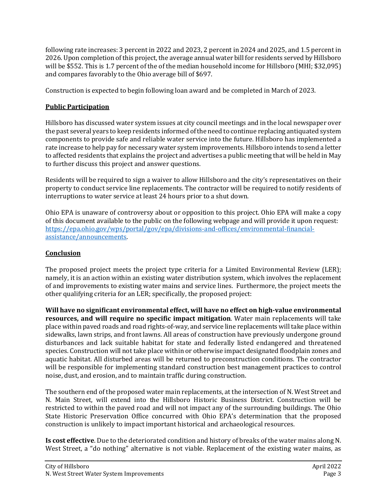following rate increases: 3 percent in 2022 and 2023, 2 percent in 2024 and 2025, and 1.5 percent in 2026. Upon completion of this project, the average annual water bill for residents served by Hillsboro will be \$552. This is 1.7 percent of the of the median household income for Hillsboro (MHI; \$32,095) and compares favorably to the Ohio average bill of \$697.

Construction is expected to begin following loan award and be completed in March of 2023.

# **Public Participation**

Hillsboro has discussed water system issues at city council meetings and in the local newspaper over the past several years to keep residents informed of the need to continue replacing antiquated system components to provide safe and reliable water service into the future. Hillsboro has implemented a rate increase to help pay for necessary water system improvements. Hillsboro intends to send a letter to affected residents that explains the project and advertises a public meeting that will be held in May to further discuss this project and answer questions.

Residents will be required to sign a waiver to allow Hillsboro and the city's representatives on their property to conduct service line replacements. The contractor will be required to notify residents of interruptions to water service at least 24 hours prior to a shut down.

Ohio EPA is unaware of controversy about or opposition to this project. Ohio EPA will make a copy of this document available to the public on the following webpage and will provide it upon request: [https://epa.ohio.gov/wps/portal/gov/epa/divisions-and-offices/environmental-financial](https://epa.ohio.gov/wps/portal/gov/epa/divisions-and-offices/environmental-financial-assistance/announcements)[assistance/announcements.](https://epa.ohio.gov/wps/portal/gov/epa/divisions-and-offices/environmental-financial-assistance/announcements)

# **Conclusion**

The proposed project meets the project type criteria for a Limited Environmental Review (LER); namely, it is an action within an existing water distribution system, which involves the replacement of and improvements to existing water mains and service lines. Furthermore, the project meets the other qualifying criteria for an LER; specifically, the proposed project:

**Will have no significant environmental effect, will have no effect on high-value environmental resources, and will require no specific impact mitigation**. Water main replacements will take place within paved roads and road rights-of-way, and service line replacements will take place within sidewalks, lawn strips, and front lawns. All areas of construction have previously undergone ground disturbances and lack suitable habitat for state and federally listed endangered and threatened species. Construction will not take place within or otherwise impact designated floodplain zones and aquatic habitat. All disturbed areas will be returned to preconstruction conditions. The contractor will be responsible for implementing standard construction best management practices to control noise, dust, and erosion, and to maintain traffic during construction.

The southern end of the proposed water main replacements, at the intersection of N. West Street and N. Main Street, will extend into the Hillsboro Historic Business District. Construction will be restricted to within the paved road and will not impact any of the surrounding buildings. The Ohio State Historic Preservation Office concurred with Ohio EPA's determination that the proposed construction is unlikely to impact important historical and archaeological resources.

**Is cost effective**. Due to the deteriorated condition and history of breaks of the water mains along N. West Street, a "do nothing" alternative is not viable. Replacement of the existing water mains, as